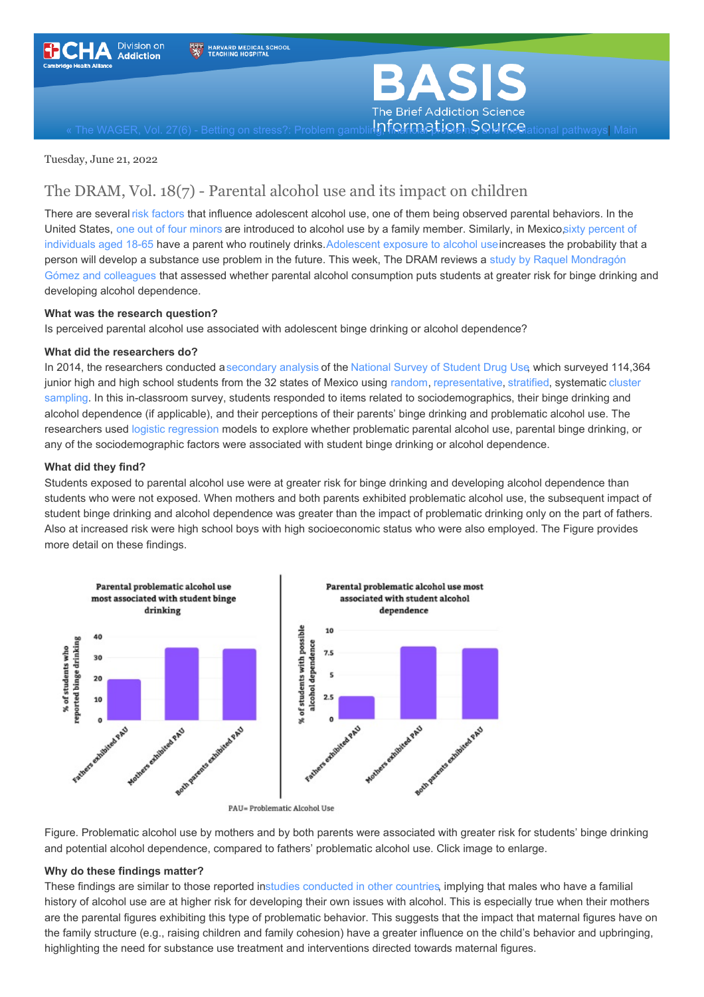



The WAGER, Vol. 27(6) - Betting on stress?: Problem gambling, for many in and [mediational](https://www.basisonline.org/) pathways| [Main](https://www.basisonline.org/)

Tuesday, June 21, 2022

### The DRAM, Vol. 18(7) - Parental alcohol use and its impact on children

There are several risk [factors](https://pubmed.ncbi.nlm.nih.gov/28178373/) that influence adolescent alcohol use, one of them being observed parental behaviors. In the United States, one out of four [minors](https://pubmed.ncbi.nlm.nih.gov/10224198/) are introduced to alcohol use by a family member. Similarly, in Mexicosixty percent of individuals aged 18-65 have a parent who routinely [drinks.](https://www.saludpublica.mx/index.php/spm/article/view/6285) [Adolescent](https://www.ncbi.nlm.nih.gov/pmc/articles/PMC4832292/) exposure to alcohol use increases the probability that a person will develop a substance use problem in the future. This week, The DRAM reviews a study by Raquel Mondragón Gómez and colleagues that assessed whether parental alcohol [consumption](http://revistasaludmental.mx/index.php/salud_mental/article/view/SM.0185-3325.2022.004) puts students at greater risk for binge drinking and developing alcohol dependence.

#### **What was the research question?**

Is perceived parental alcohol use associated with adolescent binge drinking or alcohol dependence?

#### **What did the researchers do?**

In 2014, the researchers conducted a[secondary](https://www.oxfordhandbooks.com/view/10.1093/oxfordhb/9780199934898.001.0001/oxfordhb-9780199934898-e-028#:~:text=Secondary%20data%20analysis%20refers%20to,while%20saving%20time%20and%20resources.) analysis of the [National](https://www.samhsa.gov/data/sites/default/files/NSDUH-DetTabs2014/NSDUH-DetTabs2014.pdf) Survey of Student Drug Use, which surveyed 114,364 junior high and high school students from the 32 states of Mexico using [random](https://economictimes.indiatimes.com/definition/random-sampling), [representative](https://www.basisonline.org/basis_glossary.html#represent), [stratified](https://www.basisonline.org/basis_glossary.html#stratifiedsampling), systematic cluster sampling. In this in-classroom survey, students responded to items related to [sociodemographics,](https://www.basisonline.org/basis_glossary.html#ClusterSampling) their binge drinking and alcohol dependence (if applicable), and their perceptions of their parents' binge drinking and problematic alcohol use. The researchers used logistic [regression](https://www.basisonline.org/basis_glossary.html#LogisticRegression) models to explore whether problematic parental alcohol use, parental binge drinking, or any of the sociodemographic factors were associated with student binge drinking or alcohol dependence.

#### **What did they find?**

Students exposed to parental alcohol use were at greater risk for binge drinking and developing alcohol dependence than students who were not exposed. When mothers and both parents exhibited problematic alcohol use, the subsequent impact of student binge drinking and alcohol dependence was greater than the impact of problematic drinking only on the part of fathers. Also at increased risk were high school boys with high socioeconomic status who were also employed. The Figure provides more detail on these findings.



Figure. Problematic alcohol use by mothers and by both parents were associated with greater risk for students' binge drinking and potential alcohol dependence, compared to fathers' problematic alcohol use. Click image to enlarge.

#### **Why do these findings matter?**

These findings are similar to those reported instudies [conducted](https://www.ncbi.nlm.nih.gov/pmc/articles/PMC4711325/) in other countries, implying that males who have a familial history of alcohol use are at higher risk for developing their own issues with alcohol. This is especially true when their mothers are the parental figures exhibiting this type of problematic behavior. This suggests that the impact that maternal figures have on the family structure (e.g., raising children and family cohesion) have a greater influence on the child's behavior and upbringing, highlighting the need for substance use treatment and interventions directed towards maternal figures.